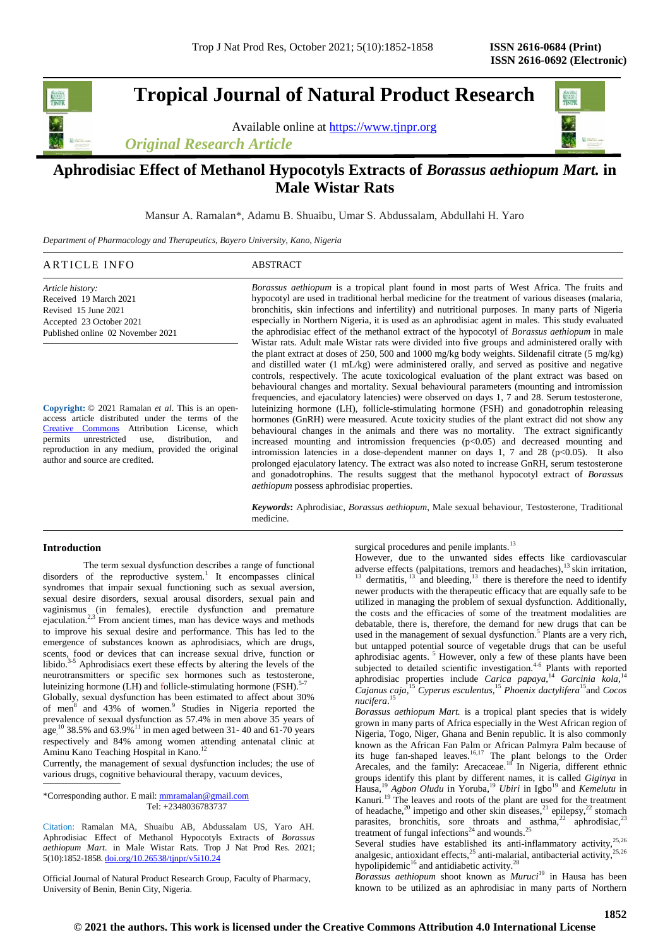# **Tropical Journal of Natural Product Research**

Available online at [https://www.tjnpr.org](https://www.tjnpr.org/)

*Original Research Article*



## **Aphrodisiac Effect of Methanol Hypocotyls Extracts of** *Borassus aethiopum Mart.* **in Male Wistar Rats**

Mansur A. Ramalan\*, Adamu B. Shuaibu, Umar S. Abdussalam, Abdullahi H. Yaro

*Department of Pharmacology and Therapeutics, Bayero University, Kano, Nigeria*

| ARTICLE INFO     | ABSTRACT                                                                                         |
|------------------|--------------------------------------------------------------------------------------------------|
| Article history: | <i>Borassus aethiopum</i> is a tropical plant found in most parts of West Africa. The fruits and |

Received 19 March 2021 Revised 15 June 2021 Accepted 23 October 2021 Published online 02 November 2021

**Copyright:** © 2021 Ramalan *et al*. This is an openaccess article distributed under the terms of the [Creative Commons](https://creativecommons.org/licenses/by/4.0/) Attribution License, which permits unrestricted use, distribution, and reproduction in any medium, provided the original author and source are credited.

hypocotyl are used in traditional herbal medicine for the treatment of various diseases (malaria, bronchitis, skin infections and infertility) and nutritional purposes. In many parts of Nigeria especially in Northern Nigeria, it is used as an aphrodisiac agent in males. This study evaluated the aphrodisiac effect of the methanol extract of the hypocotyl of *Borassus aethiopum* in male Wistar rats. Adult male Wistar rats were divided into five groups and administered orally with the plant extract at doses of 250, 500 and 1000 mg/kg body weights. Sildenafil citrate (5 mg/kg) and distilled water (1 mL/kg) were administered orally, and served as positive and negative controls, respectively. The acute toxicological evaluation of the plant extract was based on behavioural changes and mortality. Sexual behavioural parameters (mounting and intromission frequencies, and ejaculatory latencies) were observed on days 1, 7 and 28. Serum testosterone, luteinizing hormone (LH), follicle-stimulating hormone (FSH) and gonadotrophin releasing hormones (GnRH) were measured. Acute toxicity studies of the plant extract did not show any behavioural changes in the animals and there was no mortality. The extract significantly increased mounting and intromission frequencies  $(p<0.05)$  and decreased mounting and intromission latencies in a dose-dependent manner on days 1, 7 and 28 ( $p<0.05$ ). It also prolonged ejaculatory latency. The extract was also noted to increase GnRH, serum testosterone and gonadotrophins. The results suggest that the methanol hypocotyl extract of *Borassus aethiopum* possess aphrodisiac properties.

*Keywords***:** Aphrodisiac, *Borassus aethiopum*, Male sexual behaviour, Testosterone, Traditional medicine.

## **Introduction**

The term sexual dysfunction describes a range of functional disorders of the reproductive system.<sup>1</sup> It encompasses clinical syndromes that impair sexual functioning such as sexual aversion, sexual desire disorders, sexual arousal disorders, sexual pain and vaginismus (in females), erectile dysfunction and premature ejaculation.<sup>2,3</sup> From ancient times, man has device ways and methods to improve his sexual desire and performance. This has led to the emergence of substances known as aphrodisiacs, which are drugs, scents, food or devices that can increase sexual drive, function or libido.<sup>3-5</sup> Aphrodisiacs exert these effects by altering the levels of the neurotransmitters or specific sex hormones such as testosterone, luteinizing hormone (LH) and follicle-stimulating hormone (FSH).<sup>5-7</sup>

Globally, sexual dysfunction has been estimated to affect about 30% of men<sup>8</sup> and 43% of women.<sup>9</sup> Studies in Nigeria reported the prevalence of sexual dysfunction as 57.4% in men above 35 years of  $_{\text{age}}^{10}$  38.5% and 63.9%<sup>11</sup> in men aged between 31-40 and 61-70 years respectively and 84% among women attending antenatal clinic at Aminu Kano Teaching Hospital in Kano.<sup>12</sup>

Currently, the management of sexual dysfunction includes; the use of various drugs, cognitive behavioural therapy, vacuum devices,

\*Corresponding author. E mail[: mmramalan@gmail.com](mailto:mmramalan@gmail.com) Tel: +2348036783737

Citation: Ramalan MA, Shuaibu AB, Abdussalam US, Yaro AH. Aphrodisiac Effect of Methanol Hypocotyls Extracts of *Borassus aethiopum Mart.* in Male Wistar Rats. Trop J Nat Prod Res. 2021; 5(10):1852-1858. [doi.org/10.26538/tjnpr/v5i10.2](http://www.doi.org/10.26538/tjnpr/v1i4.5)4

Official Journal of Natural Product Research Group, Faculty of Pharmacy, University of Benin, Benin City, Nigeria.

surgical procedures and penile implants.<sup>13</sup>

However, due to the unwanted sides effects like cardiovascular adverse effects (palpitations, tremors and headaches), $^{13}$  skin irritation,  $13$  dermatitis,  $13$  and bleeding,  $13$  there is therefore the need to identify newer products with the therapeutic efficacy that are equally safe to be utilized in managing the problem of sexual dysfunction. Additionally, the costs and the efficacies of some of the treatment modalities are debatable, there is, therefore, the demand for new drugs that can be used in the management of sexual dysfunction.<sup>5</sup> Plants are a very rich, but untapped potential source of vegetable drugs that can be useful aphrodisiac agents.<sup>5</sup> However, only a few of these plants have been subjected to detailed scientific investigation.<sup>4-6</sup> Plants with reported aphrodisiac properties include *Carica papaya,*<sup>14</sup> *Garcinia kola,*<sup>14</sup> *Cajanus caja,*<sup>15</sup> *Cyperus esculentus,*<sup>15</sup> *Phoenix dactylifera*<sup>15</sup>and *Cocos nucifera*. 15

*Borassus aethiopum Mart.* is a tropical plant species that is widely grown in many parts of Africa especially in the West African region of Nigeria, Togo, Niger, Ghana and Benin republic. It is also commonly known as the African Fan Palm or African Palmyra Palm because of its huge fan-shaped leaves.<sup>16,17</sup> The plant belongs to the Order Arecales, and the family: Arecaceae.<sup>18</sup> In Nigeria, different ethnic groups identify this plant by different names, it is called *Giginya* in Hausa,<sup>19</sup> Agbon Oludu in Yoruba,<sup>19</sup> Ubiri in Igbo<sup>19</sup> and *Kemelutu* in Kanuri.<sup>19</sup> The leaves and roots of the plant are used for the treatment of headache,<sup>20</sup> impetigo and other skin diseases,<sup>21</sup> epilepsy,<sup>22</sup> stomach parasites, bronchitis, sore throats and asthma,<sup>22</sup> aphrodisiac,<sup>23</sup> treatment of fungal infections<sup>24</sup> and wounds.<sup>25</sup>

Several studies have established its anti-inflammatory activity, $25,26$ analgesic, antioxidant effects, $^{25}$  anti-malarial, antibacterial activity, $^{25,26}$ hypolipidemic<sup>16</sup> and antidiabetic activity.<sup>28</sup>

*Borassus aethiopum* shoot known as *Muruci*<sup>19</sup> in Hausa has been known to be utilized as an aphrodisiac in many parts of Northern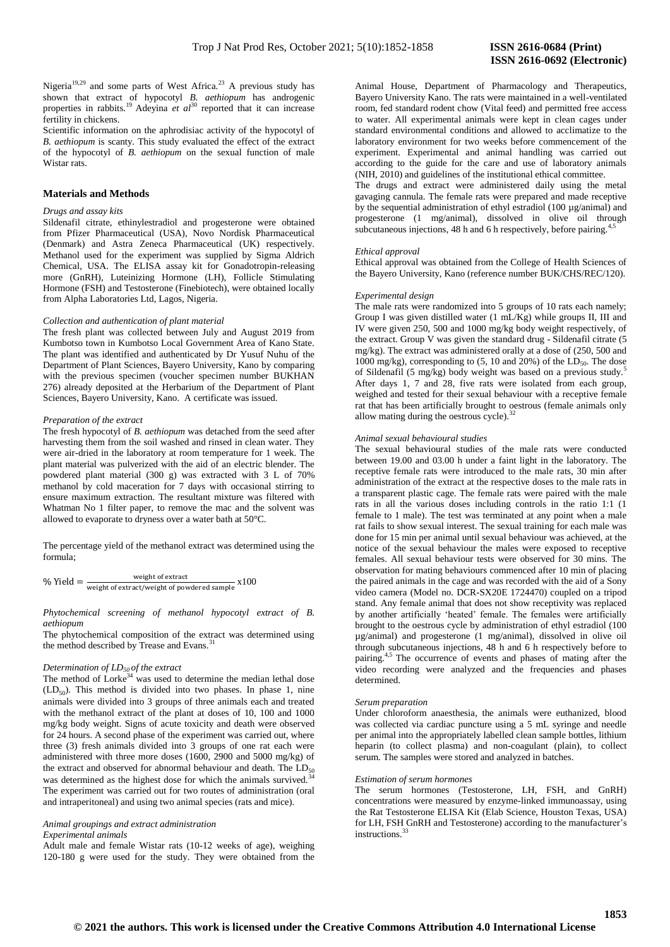Nigeria<sup>19,29</sup> and some parts of West Africa.<sup>23</sup> A previous study has shown that extract of hypocotyl *B. aethiopum* has androgenic properties in rabbits.<sup>19</sup> Adeyina *et al*<sup>30</sup> reported that it can increase fertility in chickens.

Scientific information on the aphrodisiac activity of the hypocotyl of *B. aethiopum* is scanty. This study evaluated the effect of the extract of the hypocotyl of *B. aethiopum* on the sexual function of male Wistar rats.

## **Materials and Methods**

## *Drugs and assay kits*

Sildenafil citrate, ethinylestradiol and progesterone were obtained from Pfizer Pharmaceutical (USA), Novo Nordisk Pharmaceutical (Denmark) and Astra Zeneca Pharmaceutical (UK) respectively. Methanol used for the experiment was supplied by Sigma Aldrich Chemical, USA. The ELISA assay kit for Gonadotropin-releasing more (GnRH), Luteinizing Hormone (LH), Follicle Stimulating Hormone (FSH) and Testosterone (Finebiotech), were obtained locally from Alpha Laboratories Ltd, Lagos, Nigeria.

#### *Collection and authentication of plant material*

The fresh plant was collected between July and August 2019 from Kumbotso town in Kumbotso Local Government Area of Kano State. The plant was identified and authenticated by Dr Yusuf Nuhu of the Department of Plant Sciences, Bayero University, Kano by comparing with the previous specimen (voucher specimen number BUKHAN 276) already deposited at the Herbarium of the Department of Plant Sciences, Bayero University, Kano. A certificate was issued.

#### *Preparation of the extract*

The fresh hypocotyl of *B. aethiopum* was detached from the seed after harvesting them from the soil washed and rinsed in clean water. They were air-dried in the laboratory at room temperature for 1 week. The plant material was pulverized with the aid of an electric blender. The powdered plant material (300 g) was extracted with 3 L of 70% methanol by cold maceration for 7 days with occasional stirring to ensure maximum extraction. The resultant mixture was filtered with Whatman No 1 filter paper, to remove the mac and the solvent was allowed to evaporate to dryness over a water bath at 50°C.

The percentage yield of the methanol extract was determined using the formula;

$$
\% \text{ Yield} = \frac{\text{weight of extract}}{\text{weight of extract/weight of powdered sample}} \times 100
$$

## *Phytochemical screening of methanol hypocotyl extract of B. aethiopum*

The phytochemical composition of the extract was determined using the method described by Trease and Evans.<sup>3</sup>

#### *Determination of LD50 of the extract*

The method of Lorke<sup>34</sup> was used to determine the median lethal dose  $(LD<sub>50</sub>)$ . This method is divided into two phases. In phase 1, nine animals were divided into 3 groups of three animals each and treated with the methanol extract of the plant at doses of 10, 100 and 1000 mg/kg body weight. Signs of acute toxicity and death were observed for 24 hours. A second phase of the experiment was carried out, where three (3) fresh animals divided into 3 groups of one rat each were administered with three more doses (1600, 2900 and 5000 mg/kg) of the extract and observed for abnormal behaviour and death. The  $LD_{50}$ was determined as the highest dose for which the animals survived.<sup>3</sup> The experiment was carried out for two routes of administration (oral and intraperitoneal) and using two animal species (rats and mice).

*Animal groupings and extract administration* 

*Experimental animals*

Adult male and female Wistar rats (10-12 weeks of age), weighing 120-180 g were used for the study. They were obtained from the

Animal House, Department of Pharmacology and Therapeutics, Bayero University Kano. The rats were maintained in a well-ventilated room, fed standard rodent chow (Vital feed) and permitted free access to water. All experimental animals were kept in clean cages under standard environmental conditions and allowed to acclimatize to the laboratory environment for two weeks before commencement of the experiment. Experimental and animal handling was carried out according to the guide for the care and use of laboratory animals (NIH, 2010) and guidelines of the institutional ethical committee.

The drugs and extract were administered daily using the metal gavaging cannula. The female rats were prepared and made receptive by the sequential administration of ethyl estradiol (100 µg/animal) and progesterone (1 mg/animal), dissolved in olive oil through subcutaneous injections,  $48$  h and 6 h respectively, before pairing.<sup>4,</sup>

#### *Ethical approval*

Ethical approval was obtained from the College of Health Sciences of the Bayero University, Kano (reference number BUK/CHS/REC/120).

#### *Experimental design*

The male rats were randomized into 5 groups of 10 rats each namely; Group I was given distilled water (1 mL/Kg) while groups II, III and IV were given 250, 500 and 1000 mg/kg body weight respectively, of the extract. Group V was given the standard drug - Sildenafil citrate (5 mg/kg). The extract was administered orally at a dose of (250, 500 and  $1000$  mg/kg), corresponding to (5, 10 and 20%) of the  $LD_{50}$ . The dose of Sildenafil (5 mg/kg) body weight was based on a previous study.<sup>5</sup> After days 1, 7 and 28, five rats were isolated from each group, weighed and tested for their sexual behaviour with a receptive female rat that has been artificially brought to oestrous (female animals only allow mating during the oestrous cycle). $32$ 

## *Animal sexual behavioural studies*

The sexual behavioural studies of the male rats were conducted between 19.00 and 03.00 h under a faint light in the laboratory. The receptive female rats were introduced to the male rats, 30 min after administration of the extract at the respective doses to the male rats in a transparent plastic cage. The female rats were paired with the male rats in all the various doses including controls in the ratio 1:1 (1 female to 1 male). The test was terminated at any point when a male rat fails to show sexual interest. The sexual training for each male was done for 15 min per animal until sexual behaviour was achieved, at the notice of the sexual behaviour the males were exposed to receptive females. All sexual behaviour tests were observed for 30 mins. The observation for mating behaviours commenced after 10 min of placing the paired animals in the cage and was recorded with the aid of a Sony video camera (Model no. DCR-SX20E 1724470) coupled on a tripod stand. Any female animal that does not show receptivity was replaced by another artificially 'heated' female. The females were artificially brought to the oestrous cycle by administration of ethyl estradiol (100 µg/animal) and progesterone (1 mg/animal), dissolved in olive oil through subcutaneous injections, 48 h and 6 h respectively before to pairing.4,5 The occurrence of events and phases of mating after the video recording were analyzed and the frequencies and phases determined.

#### *Serum preparation*

Under chloroform anaesthesia, the animals were euthanized, blood was collected via cardiac puncture using a 5 mL syringe and needle per animal into the appropriately labelled clean sample bottles, lithium heparin (to collect plasma) and non-coagulant (plain), to collect serum. The samples were stored and analyzed in batches.

## *Estimation of serum hormones*

The serum hormones (Testosterone, LH, FSH, and GnRH) concentrations were measured by enzyme-linked immunoassay, using the Rat Testosterone ELISA Kit (Elab Science, Houston Texas, USA) for LH, FSH GnRH and Testosterone) according to the manufacturer's instructions.<sup>33</sup>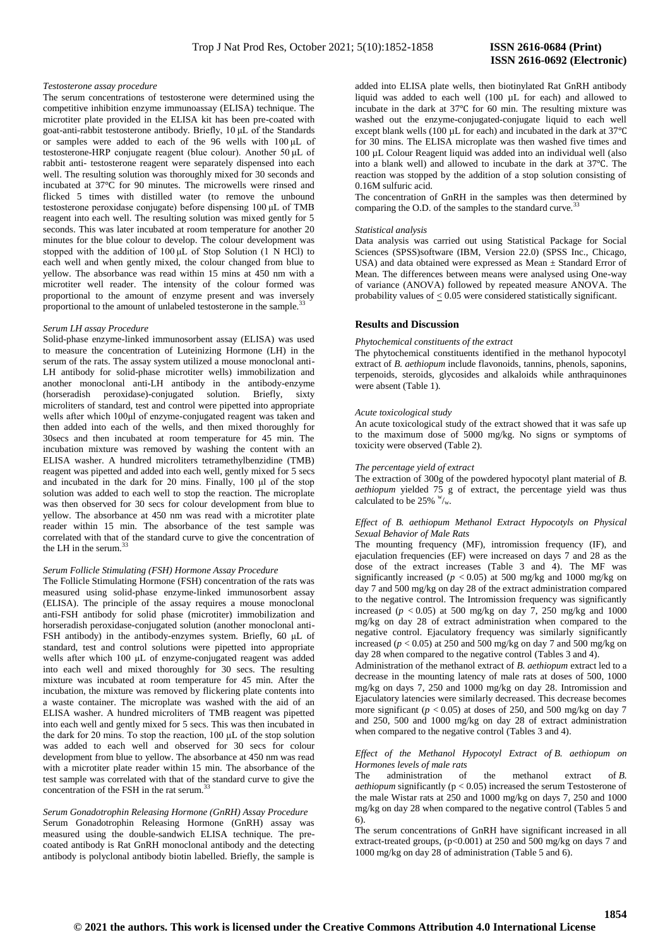#### *Testosterone assay procedure*

The serum concentrations of testosterone were determined using the competitive inhibition enzyme immunoassay (ELISA) technique. The microtiter plate provided in the ELISA kit has been pre-coated with goat-anti-rabbit testosterone antibody. Briefly, 10 μL of the Standards or samples were added to each of the 96 wells with 100 μL of testosterone-HRP conjugate reagent (blue colour). Another 50 μL of rabbit anti- testosterone reagent were separately dispensed into each well. The resulting solution was thoroughly mixed for 30 seconds and incubated at 37°C for 90 minutes. The microwells were rinsed and flicked 5 times with distilled water (to remove the unbound testosterone peroxidase conjugate) before dispensing 100 μL of TMB reagent into each well. The resulting solution was mixed gently for 5 seconds. This was later incubated at room temperature for another 20 minutes for the blue colour to develop. The colour development was stopped with the addition of 100 μL of Stop Solution (1 N HCl) to each well and when gently mixed, the colour changed from blue to yellow. The absorbance was read within 15 mins at 450 nm with a microtiter well reader. The intensity of the colour formed was proportional to the amount of enzyme present and was inversely proportional to the amount of unlabeled testosterone in the sample. $33$ 

#### *Serum LH assay Procedure*

Solid-phase enzyme-linked immunosorbent assay (ELISA) was used to measure the concentration of Luteinizing Hormone (LH) in the serum of the rats. The assay system utilized a mouse monoclonal anti-LH antibody for solid-phase microtiter wells) immobilization and another monoclonal anti-LH antibody in the antibody-enzyme (horseradish peroxidase)-conjugated solution. Briefly, sixty microliters of standard, test and control were pipetted into appropriate wells after which 100μl of enzyme-conjugated reagent was taken and then added into each of the wells, and then mixed thoroughly for 30secs and then incubated at room temperature for 45 min. The incubation mixture was removed by washing the content with an ELISA washer. A hundred microliters tetramethylbenzidine (TMB) reagent was pipetted and added into each well, gently mixed for 5 secs and incubated in the dark for 20 mins. Finally, 100 μl of the stop solution was added to each well to stop the reaction. The microplate was then observed for 30 secs for colour development from blue to yellow. The absorbance at 450 nm was read with a microtiter plate reader within 15 min. The absorbance of the test sample was correlated with that of the standard curve to give the concentration of the LH in the serum.<sup>33</sup>

## *Serum Follicle Stimulating (FSH) Hormone Assay Procedure*

The Follicle Stimulating Hormone (FSH) concentration of the rats was measured using solid-phase enzyme-linked immunosorbent assay (ELISA). The principle of the assay requires a mouse monoclonal anti-FSH antibody for solid phase (microtiter) immobilization and horseradish peroxidase-conjugated solution (another monoclonal anti-FSH antibody) in the antibody-enzymes system. Briefly, 60 μL of standard, test and control solutions were pipetted into appropriate wells after which 100 μL of enzyme-conjugated reagent was added into each well and mixed thoroughly for 30 secs. The resulting mixture was incubated at room temperature for 45 min. After the incubation, the mixture was removed by flickering plate contents into a waste container. The microplate was washed with the aid of an ELISA washer. A hundred microliters of TMB reagent was pipetted into each well and gently mixed for 5 secs. This was then incubated in the dark for 20 mins. To stop the reaction, 100 μL of the stop solution was added to each well and observed for 30 secs for colour development from blue to yellow. The absorbance at 450 nm was read with a microtiter plate reader within 15 min. The absorbance of the test sample was correlated with that of the standard curve to give the concentration of the FSH in the rat serum.<sup>3</sup>

## *Serum Gonadotrophin Releasing Hormone (GnRH) Assay Procedure* Serum Gonadotrophin Releasing Hormone (GnRH) assay was measured using the double-sandwich ELISA technique. The precoated antibody is Rat GnRH monoclonal antibody and the detecting antibody is polyclonal antibody biotin labelled. Briefly, the sample is

added into ELISA plate wells, then biotinylated Rat GnRH antibody liquid was added to each well (100 µL for each) and allowed to incubate in the dark at 37℃ for 60 min. The resulting mixture was washed out the enzyme-conjugated-conjugate liquid to each well except blank wells (100 µL for each) and incubated in the dark at 37℃ for 30 mins. The ELISA microplate was then washed five times and 100 µL Colour Reagent liquid was added into an individual well (also into a blank well) and allowed to incubate in the dark at 37℃. The reaction was stopped by the addition of a stop solution consisting of 0.16M sulfuric acid.

The concentration of GnRH in the samples was then determined by comparing the O.D. of the samples to the standard curve.

#### *Statistical analysis*

Data analysis was carried out using Statistical Package for Social Sciences (SPSS)software (IBM, Version 22.0) (SPSS Inc., Chicago, USA) and data obtained were expressed as Mean ± Standard Error of Mean. The differences between means were analysed using One-way of variance (ANOVA) followed by repeated measure ANOVA. The probability values of  $\leq 0.05$  were considered statistically significant.

## **Results and Discussion**

#### *Phytochemical constituents of the extract*

The phytochemical constituents identified in the methanol hypocotyl extract of *B. aethiopum* include flavonoids, tannins, phenols, saponins, terpenoids, steroids, glycosides and alkaloids while anthraquinones were absent (Table 1).

#### *Acute toxicological study*

An acute toxicological study of the extract showed that it was safe up to the maximum dose of 5000 mg/kg. No signs or symptoms of toxicity were observed (Table 2).

## *The percentage yield of extract*

The extraction of 300g of the powdered hypocotyl plant material of *B. aethiopum* yielded  $75 \text{ g}$  of extract, the percentage yield was thus calculated to be 25%  $w/w$ .

## *Effect of B. aethiopum Methanol Extract Hypocotyls on Physical Sexual Behavior of Male Rats*

The mounting frequency (MF), intromission frequency (IF), and ejaculation frequencies (EF) were increased on days 7 and 28 as the dose of the extract increases (Table 3 and 4). The MF was significantly increased ( $p < 0.05$ ) at 500 mg/kg and 1000 mg/kg on day 7 and 500 mg/kg on day 28 of the extract administration compared to the negative control. The Intromission frequency was significantly increased  $(p < 0.05)$  at 500 mg/kg on day 7, 250 mg/kg and 1000 mg/kg on day 28 of extract administration when compared to the negative control. Ejaculatory frequency was similarly significantly increased ( $p < 0.05$ ) at 250 and 500 mg/kg on day 7 and 500 mg/kg on day 28 when compared to the negative control (Tables 3 and 4).

Administration of the methanol extract of *B. aethiopum* extract led to a decrease in the mounting latency of male rats at doses of 500, 1000 mg/kg on days 7, 250 and 1000 mg/kg on day 28. Intromission and Ejaculatory latencies were similarly decreased. This decrease becomes more significant ( $p < 0.05$ ) at doses of 250, and 500 mg/kg on day 7 and 250, 500 and 1000 mg/kg on day 28 of extract administration when compared to the negative control (Tables 3 and 4).

#### *Effect of the Methanol Hypocotyl Extract of B. aethiopum on Hormones levels of male rats*

The administration of the methanol extract of *B. aethiopum* significantly ( $p < 0.05$ ) increased the serum Testosterone of the male Wistar rats at 250 and 1000 mg/kg on days 7, 250 and 1000 mg/kg on day 28 when compared to the negative control (Tables 5 and 6).

The serum concentrations of GnRH have significant increased in all extract-treated groups, (p<0.001) at 250 and 500 mg/kg on days 7 and 1000 mg/kg on day 28 of administration (Table 5 and 6).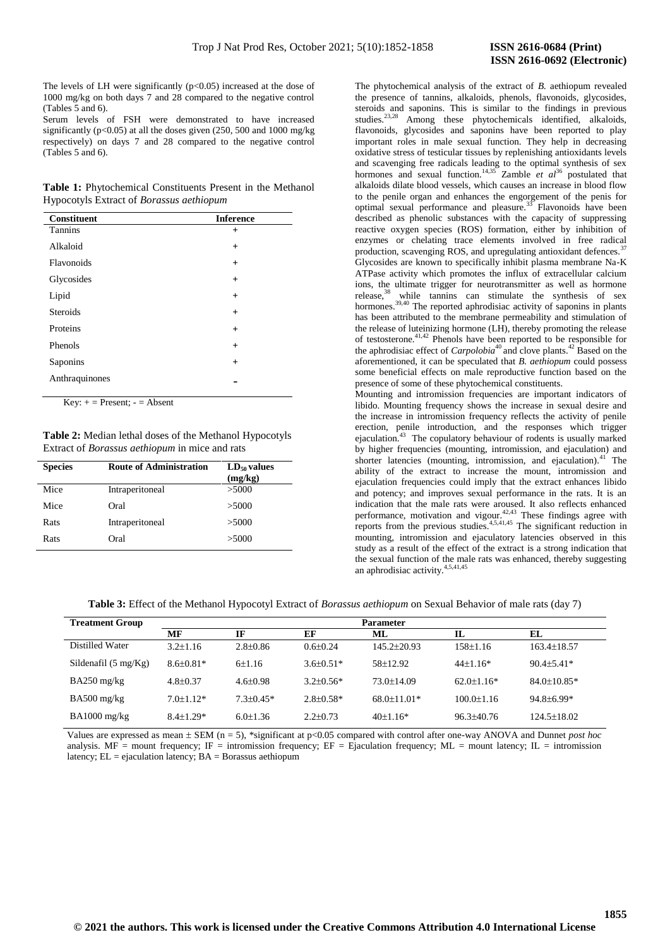The levels of LH were significantly  $(p<0.05)$  increased at the dose of 1000 mg/kg on both days 7 and 28 compared to the negative control (Tables 5 and 6).

Serum levels of FSH were demonstrated to have increased significantly ( $p<0.05$ ) at all the doses given (250, 500 and 1000 mg/kg) respectively) on days 7 and 28 compared to the negative control (Tables 5 and 6).

**Table 1:** Phytochemical Constituents Present in the Methanol Hypocotyls Extract of *Borassus aethiopum*

| Constituent     | <b>Inference</b> |
|-----------------|------------------|
| <b>Tannins</b>  | $^{+}$           |
| Alkaloid        | $+$              |
| Flavonoids      | $+$              |
| Glycosides      | $+$              |
| Lipid           | $+$              |
| <b>Steroids</b> | $+$              |
| Proteins        | $+$              |
| Phenols         | $+$              |
| Saponins        | $+$              |
| Anthraquinones  |                  |

 $Key: + = Present: - = Absent$ 

**Table 2:** Median lethal doses of the Methanol Hypocotyls Extract of *Borassus aethiopum* in mice and rats

| <b>Species</b> | <b>Route of Administration</b> | $LD_{50}$ values<br>(mg/kg) |
|----------------|--------------------------------|-----------------------------|
| Mice           | Intraperitoneal                | >5000                       |
| Mice           | Oral                           | >5000                       |
| Rats           | Intraperitoneal                | >5000                       |
| Rats           | Oral                           | >5000                       |

The phytochemical analysis of the extract of *B.* aethiopum revealed the presence of tannins, alkaloids, phenols, flavonoids, glycosides, steroids and saponins. This is similar to the findings in previous studies.<sup>23,28</sup> Among these phytochemicals identified, alkaloids, flavonoids, glycosides and saponins have been reported to play important roles in male sexual function. They help in decreasing oxidative stress of testicular tissues by replenishing antioxidants levels and scavenging free radicals leading to the optimal synthesis of sex hormones and sexual function.<sup>14,35</sup> Zamble *et al*<sup>36</sup> postulated that alkaloids dilate blood vessels, which causes an increase in blood flow to the penile organ and enhances the engorgement of the penis for optimal sexual performance and pleasure.<sup>33</sup> Flavonoids have been described as phenolic substances with the capacity of suppressing reactive oxygen species (ROS) formation, either by inhibition of enzymes or chelating trace elements involved in free radical production, scavenging ROS, and upregulating antioxidant defences.<sup>37</sup> Glycosides are known to specifically inhibit plasma membrane Na-K ATPase activity which promotes the influx of extracellular calcium ions, the ultimate trigger for neurotransmitter as well as hormone release, $38$  while tannins can stimulate the synthesis of sex while tannins can stimulate the synthesis of sex hormones.<sup>39,40</sup> The reported aphrodisiac activity of saponins in plants has been attributed to the membrane permeability and stimulation of the release of luteinizing hormone (LH), thereby promoting the release of testosterone.41,42 Phenols have been reported to be responsible for the aphrodisiac effect of *Carpolobia*<sup>40</sup> and clove plants.<sup>42</sup> Based on the aforementioned, it can be speculated that *B. aethiopum* could possess some beneficial effects on male reproductive function based on the presence of some of these phytochemical constituents.

Mounting and intromission frequencies are important indicators of libido. Mounting frequency shows the increase in sexual desire and the increase in intromission frequency reflects the activity of penile erection, penile introduction, and the responses which trigger ejaculation.<sup>43</sup> The copulatory behaviour of rodents is usually marked by higher frequencies (mounting, intromission, and ejaculation) and shorter latencies (mounting, intromission, and ejaculation).<sup>41</sup> The ability of the extract to increase the mount, intromission and ejaculation frequencies could imply that the extract enhances libido and potency; and improves sexual performance in the rats. It is an indication that the male rats were aroused. It also reflects enhanced performance, motivation and vigour.42,43 These findings agree with reports from the previous studies.<sup>4,5,41,45</sup> The significant reduction in mounting, intromission and ejaculatory latencies observed in this study as a result of the effect of the extract is a strong indication that the sexual function of the male rats was enhanced, thereby suggesting an aphrodisiac activity.4,5,41,45

|  |  | Table 3: Effect of the Methanol Hypocotyl Extract of Borassus aethiopum on Sexual Behavior of male rats (day 7) |  |
|--|--|-----------------------------------------------------------------------------------------------------------------|--|
|  |  |                                                                                                                 |  |

| <b>Treatment Group</b>         | <b>Parameter</b> |                |                 |                   |                  |                   |  |
|--------------------------------|------------------|----------------|-----------------|-------------------|------------------|-------------------|--|
|                                | MF               | IF             | EF              | ML                | $\Pi$            | EL                |  |
| Distilled Water                | $3.2 \pm 1.16$   | $2.8 + 0.86$   | $0.6 + 0.24$    | $145.2 \pm 20.93$ | $158+1.16$       | $163.4 \pm 18.57$ |  |
| Sildenafil $(5 \text{ mg/Kg})$ | $8.6 \pm 0.81*$  | $6\pm1.16$     | $3.6 \pm 0.51*$ | $58+12.92$        | $44+1.16*$       | $90.4 + 5.41*$    |  |
| $BA250$ mg/kg                  | $4.8 + 0.37$     | $4.6 \pm 0.98$ | $3.2 + 0.56*$   | $73.0 \pm 14.09$  | $62.0 \pm 1.16*$ | $84.0 \pm 10.85*$ |  |
| $BA500$ mg/kg                  | $7.0 \pm 1.12*$  | $7.3 + 0.45*$  | $2.8 + 0.58*$   | $68.0 \pm 11.01*$ | $100.0 \pm 1.16$ | $94.8 + 6.99*$    |  |
| $BA1000$ mg/kg                 | $8.4 \pm 1.29*$  | $6.0 \pm 1.36$ | $2.2+0.73$      | $40\pm1.16*$      | $96.3 + 40.76$   | $124.5 \pm 18.02$ |  |

Values are expressed as mean  $\pm$  SEM (n = 5), \*significant at p<0.05 compared with control after one-way ANOVA and Dunnet *post hoc* analysis. MF = mount frequency; IF = intromission frequency; EF = Ejaculation frequency; ML = mount latency; IL = intromission latency;  $EL =$  ejaculation latency;  $BA =$  Borassus aethiopum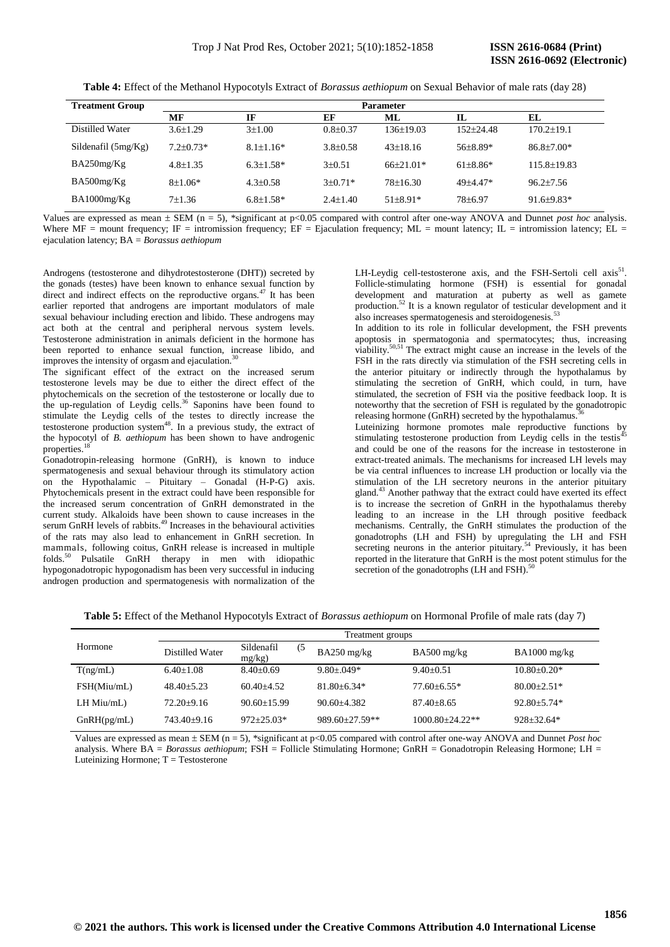**Table 4:** Effect of the Methanol Hypocotyls Extract of *Borassus aethiopum* on Sexual Behavior of male rats (day 28)

| <b>Treatment Group</b> | <b>Parameter</b> |                 |              |              |               |                   |
|------------------------|------------------|-----------------|--------------|--------------|---------------|-------------------|
|                        | MF               | IF              | EF           | ML           | IL            | EL                |
| Distilled Water        | $3.6 \pm 1.29$   | $3+1.00$        | $0.8 + 0.37$ | 136+19.03    | $152 + 24.48$ | $170.2 \pm 19.1$  |
| Sildenafil $(5mg/Kg)$  | $7.2 + 0.73*$    | $8.1 \pm 1.16*$ | $3.8 + 0.58$ | $43+18.16$   | $56+8.89*$    | $86.8 \pm 7.00*$  |
| BA250mg/Kg             | $4.8 \pm 1.35$   | $6.3 \pm 1.58*$ | $3+0.51$     | $66+21.01*$  | $61 + 8.86*$  | $115.8 \pm 19.83$ |
| BA500mg/Kg             | $8+1.06*$        | $4.3 \pm 0.58$  | $3+0.71*$    | $78+16.30$   | $49 + 4.47*$  | $96.2 + 7.56$     |
| BA1000mg/Kg            | $7+1.36$         | $6.8 \pm 1.58*$ | $2.4 + 1.40$ | $51 + 8.91*$ | $78 + 6.97$   | $91.6 + 9.83*$    |

Values are expressed as mean  $\pm$  SEM (n = 5), \*significant at p<0.05 compared with control after one-way ANOVA and Dunnet *post hoc* analysis. Where MF = mount frequency; IF = intromission frequency; EF = Ejaculation frequency; ML = mount latency; IL = intromission latency; EL = ejaculation latency; BA = *Borassus aethiopum*

Androgens (testosterone and dihydrotestosterone (DHT)) secreted by the gonads (testes) have been known to enhance sexual function by direct and indirect effects on the reproductive organs.<sup>47</sup> It has been earlier reported that androgens are important modulators of male sexual behaviour including erection and libido. These androgens may act both at the central and peripheral nervous system levels. Testosterone administration in animals deficient in the hormone has been reported to enhance sexual function, increase libido, and improves the intensity of orgasm and ejaculation.<sup>3</sup>

The significant effect of the extract on the increased serum testosterone levels may be due to either the direct effect of the phytochemicals on the secretion of the testosterone or locally due to the up-regulation of Leydig cells.<sup>36</sup> Saponins have been found to stimulate the Leydig cells of the testes to directly increase the testosterone production system<sup>48</sup>. In a previous study, the extract of the hypocotyl of *B. aethiopum* has been shown to have androgenic properties. 18

Gonadotropin-releasing hormone (GnRH), is known to induce spermatogenesis and sexual behaviour through its stimulatory action on the Hypothalamic – Pituitary – Gonadal (H-P-G) axis. Phytochemicals present in the extract could have been responsible for the increased serum concentration of GnRH demonstrated in the current study. Alkaloids have been shown to cause increases in the serum GnRH levels of rabbits.<sup>49</sup> Increases in the behavioural activities of the rats may also lead to enhancement in GnRH secretion. In mammals, following coitus, GnRH release is increased in multiple folds.<sup>50</sup> Pulsatile GnRH therapy in men with idiopathic hypogonadotropic hypogonadism has been very successful in inducing androgen production and spermatogenesis with normalization of the

LH-Leydig cell-testosterone axis, and the FSH-Sertoli cell  $axis<sup>51</sup>$ . Follicle-stimulating hormone (FSH) is essential for gonadal development and maturation at puberty as well as gamete production. <sup>52</sup> It is a known regulator of testicular development and it also increases spermatogenesis and steroidogenesis.<sup>5</sup>

In addition to its role in follicular development, the FSH prevents apoptosis in spermatogonia and spermatocytes; thus, increasing viability.<sup>50,51</sup> The extract might cause an increase in the levels of the FSH in the rats directly via stimulation of the FSH secreting cells in the anterior pituitary or indirectly through the hypothalamus by stimulating the secretion of GnRH, which could, in turn, have stimulated, the secretion of FSH via the positive feedback loop. It is noteworthy that the secretion of FSH is regulated by the gonadotropic releasing hormone (GnRH) secreted by the hypothalamus.

Luteinizing hormone promotes male reproductive functions by stimulating testosterone production from Leydig cells in the testis<sup>45</sup> and could be one of the reasons for the increase in testosterone in extract-treated animals. The mechanisms for increased LH levels may be via central influences to increase LH production or locally via the stimulation of the LH secretory neurons in the anterior pituitary gland.<sup>43</sup> Another pathway that the extract could have exerted its effect is to increase the secretion of GnRH in the hypothalamus thereby leading to an increase in the LH through positive feedback mechanisms. Centrally, the GnRH stimulates the production of the gonadotrophs (LH and FSH) by upregulating the LH and FSH secreting neurons in the anterior pituitary.<sup>54</sup> Previously, it has been reported in the literature that GnRH is the most potent stimulus for the secretion of the gonadotrophs (LH and FSH).<sup>5</sup>

**Table 5:** Effect of the Methanol Hypocotyls Extract of *Borassus aethiopum* on Hormonal Profile of male rats (day 7)

|                  | Treatment groups |                                |                     |                      |                 |
|------------------|------------------|--------------------------------|---------------------|----------------------|-----------------|
| Hormone          | Distilled Water  | Sildenafil<br>(5)<br>$mg/kg$ ) | $BA250$ mg/kg       | $BA500$ mg/kg        | $BA1000$ mg/kg  |
| T(ng/mL)         | $6.40+1.08$      | $8.40 + 0.69$                  | $9.80 + 0.049*$     | $9.40 + 0.51$        | $10.80 + 0.20*$ |
| FSH(Miu/mL)      | $48.40 + 5.23$   | $60.40 + 4.52$                 | $81.80 + 6.34*$     | $77.60 + 6.55*$      | $80.00+2.51*$   |
| $LH$ Miu/m $L$ ) | $72.20+9.16$     | $90.60 + 15.99$                | $90.60 + 4.382$     | $87.40 + 8.65$       | $92.80 + 5.74*$ |
| GnRH(pg/mL)      | $743.40+9.16$    | $972 + 25.03*$                 | $989.60 + 27.59$ ** | $1000.80 + 24.22$ ** | $928 + 32.64*$  |

Values are expressed as mean  $\pm$  SEM (n = 5), \*significant at p<0.05 compared with control after one-way ANOVA and Dunnet *Post hoc* analysis. Where BA = *Borassus aethiopum*; FSH = Follicle Stimulating Hormone; GnRH = Gonadotropin Releasing Hormone; LH = Luteinizing Hormone;  $T = T$ estosterone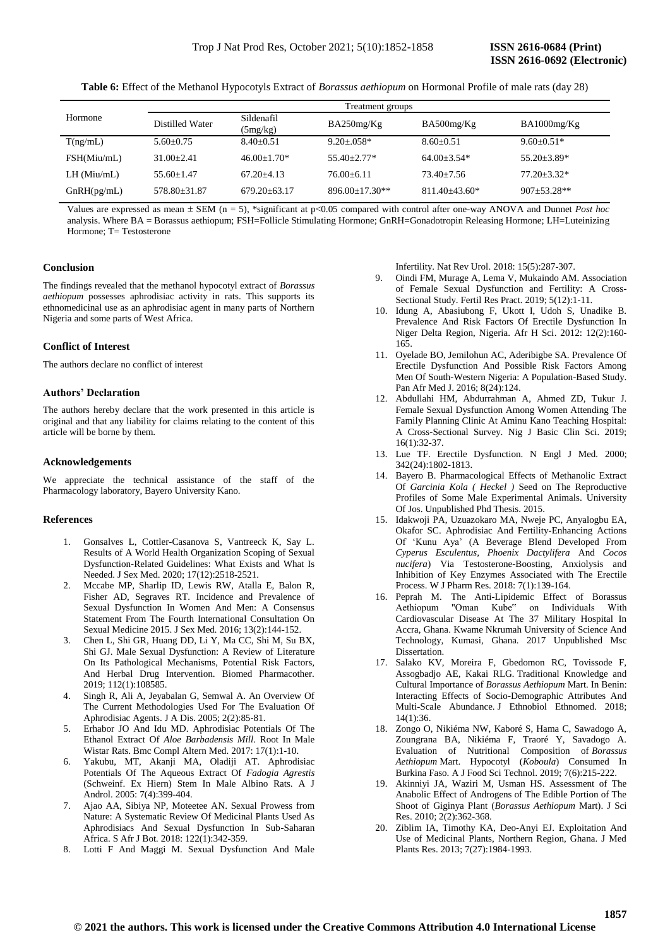**Table 6:** Effect of the Methanol Hypocotyls Extract of *Borassus aethiopum* on Hormonal Profile of male rats (day 28)

|               | Treatment groups |                        |                  |                   |                 |  |
|---------------|------------------|------------------------|------------------|-------------------|-----------------|--|
| Hormone       | Distilled Water  | Sildenafil<br>(5mg/kg) | BA250mg/Kg       | BA500mg/Kg        | BA1000mg/Kg     |  |
| T(ng/mL)      | $5.60+0.75$      | $8.40+0.51$            | $9.20 + 0.058*$  | $8.60 + 0.51$     | $9.60+0.51*$    |  |
| FSH(Miu/mL)   | $31.00 + 2.41$   | $46.00+1.70*$          | $55.40 + 2.77*$  | $64.00+3.54*$     | $55.20 + 3.89*$ |  |
| $LH$ (Miu/mL) | $55.60+1.47$     | $67.20 + 4.13$         | 76.00+6.11       | $73.40 + 7.56$    | $77.20 + 3.32*$ |  |
| GnRH(pg/mL)   | 578.80+31.87     | $679.20 + 63.17$       | $896.00+17.30**$ | $811.40 + 43.60*$ | $907 + 53.28**$ |  |

Values are expressed as mean SEM (n = 5), \*significant at p<0.05 compared with control after one-way ANOVA and Dunnet *Post hoc* analysis. Where BA = Borassus aethiopum; FSH=Follicle Stimulating Hormone; GnRH=Gonadotropin Releasing Hormone; LH=Luteinizing Hormone: T= Testosterone

## **Conclusion**

The findings revealed that the methanol hypocotyl extract of *Borassus aethiopum* possesses aphrodisiac activity in rats. This supports its ethnomedicinal use as an aphrodisiac agent in many parts of Northern Nigeria and some parts of West Africa.

## **Conflict of Interest**

The authors declare no conflict of interest

## **Authors' Declaration**

The authors hereby declare that the work presented in this article is original and that any liability for claims relating to the content of this article will be borne by them.

## **Acknowledgements**

We appreciate the technical assistance of the staff of the Pharmacology laboratory, Bayero University Kano.

## **References**

- 1. Gonsalves L, Cottler-Casanova S, Vantreeck K, Say L. Results of A World Health Organization Scoping of Sexual Dysfunction-Related Guidelines: What Exists and What Is Needed. J Sex Med. 2020; 17(12):2518-2521.
- 2. Mccabe MP, Sharlip ID, Lewis RW, Atalla E, Balon R, Fisher AD, Segraves RT. Incidence and Prevalence of Sexual Dysfunction In Women And Men: A Consensus Statement From The Fourth International Consultation On Sexual Medicine 2015. J Sex Med*.* 2016; 13(2):144-152.
- 3. Chen L, Shi GR, Huang DD, Li Y, Ma CC, Shi M, Su BX, Shi GJ. Male Sexual Dysfunction: A Review of Literature On Its Pathological Mechanisms, Potential Risk Factors, And Herbal Drug Intervention. Biomed Pharmacother. 2019; 112(1):108585.
- 4. Singh R, Ali A, Jeyabalan G, Semwal A. An Overview Of The Current Methodologies Used For The Evaluation Of Aphrodisiac Agents. J A Dis. 2005; 2(2):85-81.
- 5. Erhabor JO And Idu MD. Aphrodisiac Potentials Of The Ethanol Extract Of *Aloe Barbadensis Mill*. Root In Male Wistar Rats. Bmc Compl Altern Med. 2017: 17(1):1-10.
- 6. Yakubu, MT, Akanji MA, Oladiji AT. Aphrodisiac Potentials Of The Aqueous Extract Of *Fadogia Agrestis* (Schweinf. Ex Hiern) Stem In Male Albino Rats. A J Androl. 2005: 7(4):399-404.
- 7. Ajao AA, Sibiya NP, Moteetee AN. Sexual Prowess from Nature: A Systematic Review Of Medicinal Plants Used As Aphrodisiacs And Sexual Dysfunction In Sub-Saharan Africa. S Afr J Bot*.* 2018: 122(1):342-359.
- 8. Lotti F And Maggi M. Sexual Dysfunction And Male

Infertility. Nat Rev Urol. 2018: 15(5):287-307.

- 9. Oindi FM, Murage A, Lema V, Mukaindo AM. Association of Female Sexual Dysfunction and Fertility: A Cross-Sectional Study. Fertil Res Pract. 2019; 5(12):1-11.
- 10. Idung A, Abasiubong F, Ukott I, Udoh S, Unadike B. Prevalence And Risk Factors Of Erectile Dysfunction In Niger Delta Region, Nigeria. Afr H Sci. 2012: 12(2):160- 165.
- 11. Oyelade BO, Jemilohun AC, Aderibigbe SA. Prevalence Of Erectile Dysfunction And Possible Risk Factors Among Men Of South-Western Nigeria: A Population-Based Study. Pan Afr Med J. 2016; 8(24):124.
- 12. Abdullahi HM, Abdurrahman A, Ahmed ZD, Tukur J. Female Sexual Dysfunction Among Women Attending The Family Planning Clinic At Aminu Kano Teaching Hospital: A Cross-Sectional Survey. Nig J Basic Clin Sci. 2019;  $16(1):32-37.$
- 13. Lue TF. Erectile Dysfunction. N Engl J Med*.* 2000; 342(24):1802-1813.
- 14. Bayero B. Pharmacological Effects of Methanolic Extract Of *Garcinia Kola ( Heckel )* Seed on The Reproductive Profiles of Some Male Experimental Animals. University Of Jos. Unpublished Phd Thesis. 2015.
- 15. Idakwoji PA, Uzuazokaro MA, Nweje PC, Anyalogbu EA, Okafor SC. Aphrodisiac And Fertility-Enhancing Actions Of 'Kunu Aya' (A Beverage Blend Developed From *Cyperus Esculentus, Phoenix Dactylifera* And *Cocos nucifera*) Via Testosterone-Boosting, Anxiolysis and Inhibition of Key Enzymes Associated with The Erectile Process. W J Pharm Res. 2018: 7(1):139-164.
- 16. Peprah M. The Anti-Lipidemic Effect of Borassus Aethiopum "Oman Kube" on Individuals With Cardiovascular Disease At The 37 Military Hospital In Accra, Ghana. Kwame Nkrumah University of Science And Technology, Kumasi, Ghana. 2017 Unpublished Msc Dissertation.
- 17. Salako KV, Moreira F, Gbedomon RC, Tovissode F, Assogbadjo AE, Kakai RLG*.* Traditional Knowledge and Cultural Importance of *Borassus Aethiopum* Mart. In Benin: Interacting Effects of Socio-Demographic Attributes And Multi-Scale Abundance. J Ethnobiol Ethnomed. 2018; 14(1):36.
- 18. Zongo O, Nikiéma NW, Kaboré S, Hama C, Sawadogo A, Zoungrana BA, Nikiéma F, Traoré Y, Savadogo A. Evaluation of Nutritional Composition of *Borassus Aethiopum* Mart. Hypocotyl (*Koboula*) Consumed In Burkina Faso. A J Food Sci Technol. 2019; 7(6):215-222.
- 19. Akinniyi JA, Waziri M, Usman HS. Assessment of The Anabolic Effect of Androgens of The Edible Portion of The Shoot of Giginya Plant (*Borassus Aethiopum* Mart). J Sci Res. 2010; 2(2):362-368.
- 20. Ziblim IA, Timothy KA, Deo-Anyi EJ. Exploitation And Use of Medicinal Plants, Northern Region, Ghana. J Med Plants Res. 2013; 7(27):1984-1993.